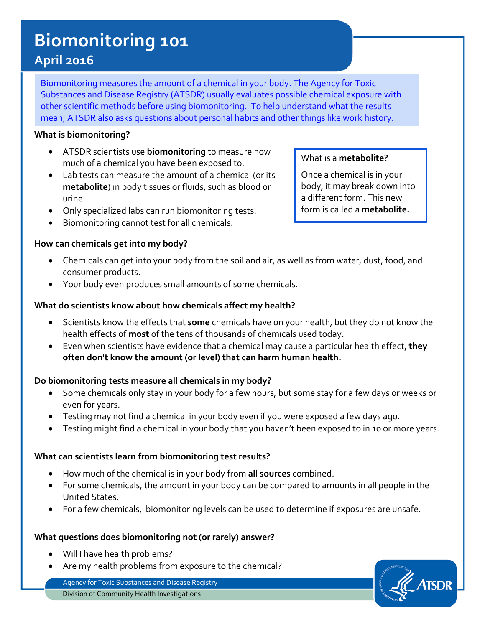# **Biomonitoring 101**

# **April 2016**

Biomonitoring measures the amount of a chemical in your body. The Agency for Toxic Substances and Disease Registry (ATSDR) usually evaluates possible chemical exposure with other scientific methods before using biomonitoring. To help understand what the results mean, ATSDR also asks questions about personal habits and other things like work history.

#### **What is biomonitoring?**

- ATSDR scientists use **biomonitoring** to measure how much of a chemical you have been exposed to.
- Lab tests can measure the amount of a chemical (or its **metabolite**) in body tissues or fluids, such as blood or urine.
- Only specialized labs can run biomonitoring tests.
- Biomonitoring cannot test for all chemicals.

## **How can chemicals get into my body?**

### • Chemicals can get into your body from the soil and air, as well as from water, dust, food, and consumer products.

• Your body even produces small amounts of some chemicals.

#### **What do scientists know about how chemicals affect my health?**

- Scientists know the effects that **some** chemicals have on your health, but they do not know the health effects of **most** of the tens of thousands of chemicals used today.
- Even when scientists have evidence that a chemical may cause a particular health effect, **they often don't know the amount (or level) that can harm human health.**

#### **Do biomonitoring tests measure all chemicals in my body?**

- Some chemicals only stay in your body for a few hours, but some stay for a few days or weeks or even for years.
- Testing may not find a chemical in your body even if you were exposed a few days ago.
- Testing might find a chemical in your body that you haven't been exposed to in 10 or more years.

#### **What can scientists learn from biomonitoring test results?**

- How much of the chemical is in your body from **all sources** combined.
- For some chemicals, the amount in your body can be compared to amounts in all people in the United States.
- For a few chemicals, biomonitoring levels can be used to determine if exposures are unsafe.

#### **What questions does biomonitoring not (or rarely) answer?**

- Will I have health problems?
- Are my health problems from exposure to the chemical?

Agency for Toxic Substances and Disease Registry Division of Community Health Investigations

#### What is a **metabolite?**

Once a chemical is in your body, it may break down into a different form. This new form is called a **metabolite.**